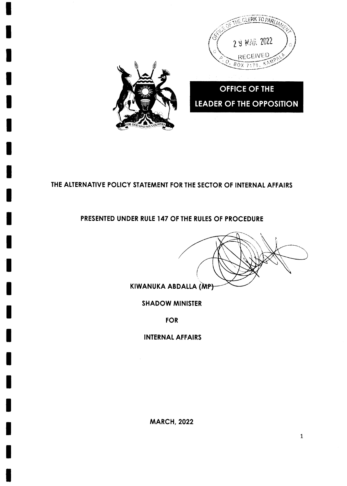

# THE ALTERNATIVE POLICY STATEMENT FOR THE SECTOR OF INTERNAL AFFAIRS

### PRESENTED UNDER RULE 147 OF THE RULES OF PROCEDURE

KIWANUKA ABDALLA (MP)

**SHADOW MINISTER** 

**FOR** 

**INTERNAL AFFAIRS** 

**MARCH, 2022**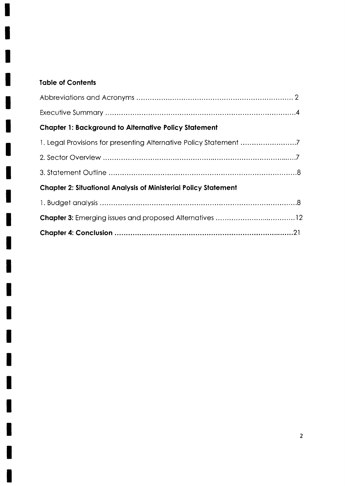# **Table of Contents**

1

П

I

I

H

I

| <b>Chapter 1: Background to Alternative Policy Statement</b>           |
|------------------------------------------------------------------------|
|                                                                        |
|                                                                        |
|                                                                        |
| <b>Chapter 2: Situational Analysis of Ministerial Policy Statement</b> |
|                                                                        |
|                                                                        |
|                                                                        |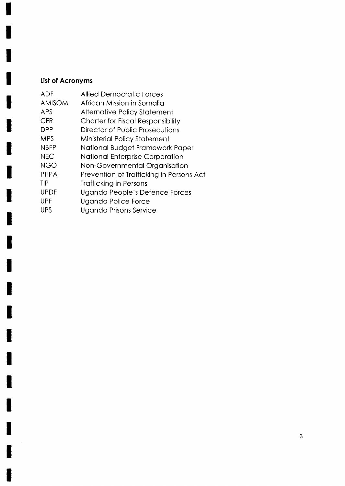# List of Acronyms

| <b>Allied Democratic Forces</b>          |
|------------------------------------------|
| African Mission in Somalia               |
| <b>Alternative Policy Statement</b>      |
| <b>Charter for Fiscal Responsibility</b> |
| Director of Public Prosecutions          |
| Ministerial Policy Statement             |
| National Budget Framework Paper          |
| National Enterprise Corporation          |
| Non-Governmental Organisation            |
| Prevention of Trafficking in Persons Act |
| <b>Trafficking in Persons</b>            |
| Uganda People's Defence Forces           |
| Uganda Police Force                      |
| Uganda Prisons Service                   |
|                                          |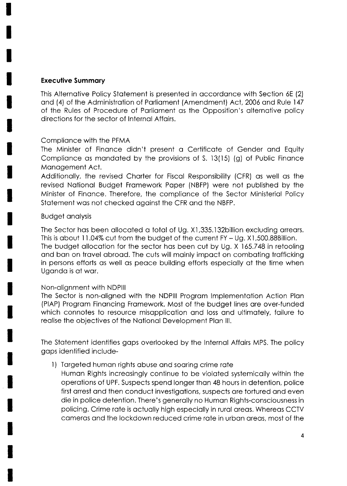### **Executive Summary**

This Alternative Policy Statement is presented in accordance with Section 6E (2) and (4) of the Administration of Parliament (Amendment) Act, 2006 and Rule 147 of the Rules of Procedure of Parliament as the Opposition's alternative policy directions for the sector of Internal Affairs.

### Compliance with the PFMA

The Minister of Finance didn't present a Certificate of Gender and Equity Compliance as mandated by the provisions of S. 13(15) (g) of Public Finance Management Act.

Additionally, the revised Charter for Fiscal Responsibility (CFR) as well as the revised National Budget Framework Paper (NBFP) were not published by the Minister of Finance. Therefore, the compliance of the Sector Ministerial Policy Statement was not checked against the CFR and the NBFP.

### **Budget analysis**

The Sector has been allocated a total of Ug. X1,335.132billion excluding arrears. This is about 11.04% cut from the budget of the current  $FY - Ug$ .  $X1,500.88B$  illion. The budget allocation for the sector has been cut by Ug. X 165.748 in retooling and ban on travel abroad. The cuts will mainly impact on combating trafficking in persons efforts as well as peace building efforts especially at the time when Uganda is at war.

### Non-alignment with NDPIII

The Sector is non-aligned with the NDPIII Program Implementation Action Plan (PIAP) Program Financing Framework. Most of the budget lines are over-funded which connotes to resource misapplication and loss and ultimately, failure to realise the objectives of the National Development Plan III.

The Statement identifies gaps overlooked by the Internal Affairs MPS. The policy gaps identified include-

- 1) Targeted human rights abuse and soaring crime rate
	- Human Rights increasingly continue to be violated systemically within the operations of UPF. Suspects spend longer than 48 hours in detention, police first arrest and then conduct investigations, suspects are tortured and even die in police detention. There's generally no Human Rights-consciousness in policing. Crime rate is actually high especially in rural areas. Whereas CCTV cameras and the lockdown reduced crime rate in urban areas, most of the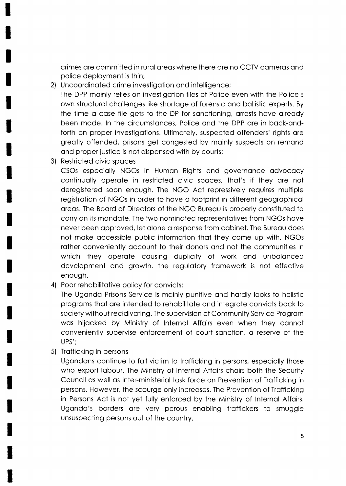crimes ore committed in rurol oreos where there ore no CCTV comeros ond police deployment is thin;

- 2) Uncoordinoted crime investigotion ond intelligence; The DPP moinly relies on investigotion files of Police even with the Police's own structurol chollenges like shortoge of forensic ond bollistic experts. By the time a case file gets to the DP for sanctioning, arrests have already been mode. ln the circumstonces, Police ond the DPP ore in bock-ondforth on proper investigations. Ultimately, suspected offenders' rights are greatly offended, prisons get congested by mainly suspects on remand ond proper justice is not dispensed with by courts;
- 3) Restricted civic spoces

CSOs especially NGOs in Human Rights and governance advocacy continuolly operote in restricted civic spoces, thot's if they ore not deregistered soon enough. The NGO Act repressively requires multiple registrotion of NGOs in order to hove o footprint in different geogrophicol oreos. The Boord of Directors of the NGO Bureou is properly constituted to corry on its mondote. The two nominoted representotives from NGOs hove never been approved, let alone a response from cabinet. The Bureau does not mqke occessible public informotion thot they come up with. NGOs rather conveniently account to their donors and not the communities in which they operate causing duplicity of work and unbalanced development ond growth. the regulotory fromework is not effective enough.

4) Poor rehabilitative policy for convicts;

The Uganda Prisons Service is mainly punitive and hardly looks to holistic programs that are intended to rehabilitate and integrate convicts back to society without recidivoting. The supervision of Community Service Progrom was hijacked by Ministry of Internal Affairs even when they cannot conveniently supervise enforcement of court sonction, o reserve of the UPS';

5) Trofficking in persons

Ugandans continue to fall victim to trafficking in persons, especially those who export labour. The Ministry of Internal Affairs chairs both the Security Council os well os lnter-ministeriol tosk force on Prevention of Trofficking in persons. However, the scourge only increoses. The Prevention of Trofficking in Persons Act is not yet fully enforced by the Ministry of lnternol Affoirs. Uganda's borders are very porous enabling traffickers to smuggle unsuspecting persons out of the country.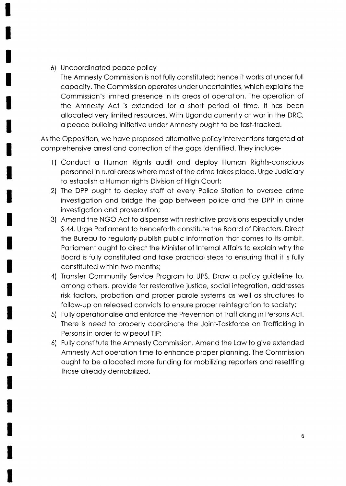### 6) Uncoordinoted peoce policy

The Amnesty Commission is not fully constituted; hence it works of under full copocity. The Commission operotes under uncertointies, which exploins the Commission's limited presence in its oreos of operotion. The operotion of the Amnesty Act is extended for o short period of time. lt hos been qllocoted very limited resources. With Ugondo currently of wor in the DRC, o peoce building initiotive under Amnesty ought to be fost-trocked.

As the Opposition, we have proposed alternative policy interventions targeted at comprehensive orrest ond correction of the gops identified. They include-

- <sup>I</sup>) Conduct o Humon Rights oudit ond deploy Humon Rights-conscious personnelin rurol oreos where most of the crime tokes ploce. Urge Judiciory to estoblish o Humon rights Division of High Court;
- 2) The DPP ought to deploy stoff of every Police Stotion to oversee crime investigotion ond bridge the gop between police ond the DPP in crime investigotion ond prosecution;
- 3) Amend the NGO Act to dispense with restrictive provisions especiolly under S.44. Urge Porlioment to henceforth constitute the Boord of Directors. Direct the Bureau to regularly publish public information that comes to its ambit. Parliament ought to direct the Minister of Internal Affairs to explain why the Boord is fully constituted ond toke procticol steps to ensuring thot it is fully constituted within two months;
- 4) Transfer Community Service Program to UPS. Draw a policy guideline to, among others, provide for restorative justice, social integration, addresses risk foctors, probotion ond proper porole systems os well os structures to follow-up on released convicts to ensure proper reintegration to society;
- 5) Fully operotionolise ond enforce the Prevention of Trofficking in Persons Act. There is need to properly coordinqte the Joint-Toskforce on Trofficking in Persons in order to wipeout TIP;
- 6) Fully constitute the Amnesty Commission. Amend the Low to give extended Amnesty Act operotion time to enhonce proper plonning. The Commission ought to be ollocoted more funding for mobilizing reporters ond resettling those olreody demobilized.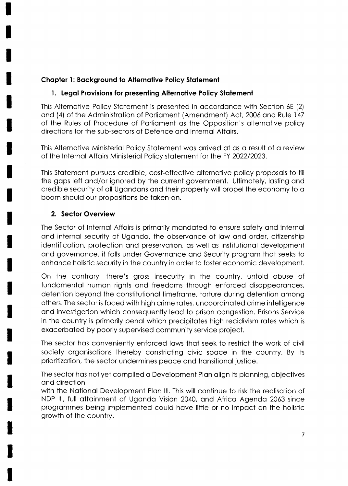# **Chapter 1: Background to Alternative Policy Statement**

# 1. Legal Provisions for presenting Alternative Policy Statement

This Alternative Policy Statement is presented in accordance with Section 6E (2) and (4) of the Administration of Parliament (Amendment) Act, 2006 and Rule 147 of the Rules of Procedure of Parliament as the Opposition's alternative policy directions for the sub-sectors of Defence and Internal Affairs.

This Alternative Ministerial Policy Statement was arrived at as a result of a review of the Internal Affairs Ministerial Policy statement for the FY 2022/2023.

This Statement pursues credible, cost-effective alternative policy proposals to fill the gaps left and/or ignored by the current government. Ultimately, lasting and credible security of all Ugandans and their property will propel the economy to a boom should our propositions be taken-on.

# 2. Sector Overview

The Sector of Internal Affairs is primarily mandated to ensure safety and internal and internal security of Uganda, the observance of law and order, citizenship identification, protection and preservation, as well as institutional development and governance. it falls under Governance and Security program that seeks to enhance holistic security in the country in order to foster economic development.

On the contrary, there's gross insecurity in the country, untold abuse of fundamental human rights and freedoms through enforced disappearances, detention beyond the constitutional timeframe, torture during detention among others. The sector is faced with high crime rates, uncoordinated crime intelligence and investigation which consequently lead to prison congestion. Prisons Service in the country is primarily penal which precipitates high recidivism rates which is exacerbated by poorly supervised community service project.

The sector has conveniently enforced laws that seek to restrict the work of civil society organisations thereby constricting civic space in the country. By its prioritization, the sector undermines peace and transitional justice.

The sector has not yet compiled a Development Plan align its planning, objectives and direction

with the National Development Plan III. This will continue to risk the realisation of NDP III, full attainment of Uganda Vision 2040, and Africa Agenda 2063 since programmes being implemented could have little or no impact on the holistic growth of the country.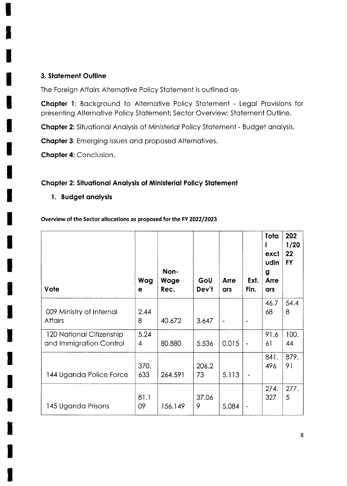### 3. Statement Outline

The Foreign Affairs Alternative Policy Statement is outlined as-

Chapter 1: Background to Alternative Policy Statement - Legal Provisions for presenting Alternative Policy Statement; Sector Overview; Statement Outline.

Chapter 2: Situational Analysis of Ministerial Policy Statement - Budget analysis.

**Chapter 3:** Emerging issues and proposed Alternatives.

**Chapter 4: Conclusion.** 

### **Chapter 2: Situational Analysis of Ministerial Policy Statement**

1. Budget analysis

#### Overview of the Sector allocations as proposed for the FY 2022/2023

| Vote                                                | Wag<br>е    | Non-<br>Wage<br>Rec. | GoU<br>Dev't | <b>Arre</b><br>ars           | Ext.<br>Fin.                 | Tota<br>excl<br>udin<br>g<br><b>Arre</b><br>ars | 202<br>1/20<br>22<br><b>FY</b> |
|-----------------------------------------------------|-------------|----------------------|--------------|------------------------------|------------------------------|-------------------------------------------------|--------------------------------|
| 009 Ministry of Internal<br><b>Affairs</b>          | 2.44<br>8   | 40.672               | 3.647        | $\qquad \qquad \blacksquare$ | $\qquad \qquad$              | 46.7<br>68                                      | 54.4<br>8                      |
| 120 National Citizenship<br>and Immigration Control | 5.24<br>4   | 80.880               | 5.536        | 0.015                        | $\overline{\phantom{a}}$     | 91.6<br>6 <sup>1</sup>                          | 100.<br>44                     |
| 144 Uganda Police Force                             | 370.<br>633 | 264.591              | 206.2<br>73  | 5.113                        |                              | 841.<br>496                                     | 879.<br>91                     |
| 145 Uganda Prisons                                  | 81.1<br>09  | 156.149              | 37.06<br>9   | 5.084                        | $\qquad \qquad \blacksquare$ | 274.<br>327                                     | 277.<br>5                      |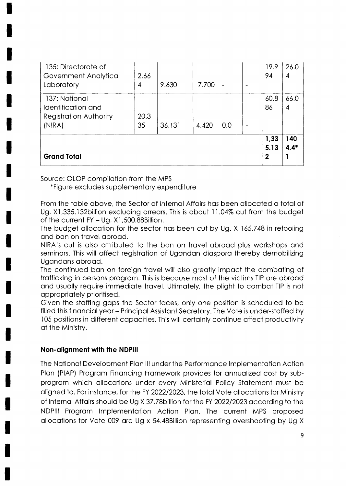| 135: Directorate of<br>Government Analytical<br>Laboratory                     | 2.66<br>4  | 9.630  | 7.700 |     | $\overline{\phantom{0}}$ | 19.9<br>94                  | 26.0<br>4     |
|--------------------------------------------------------------------------------|------------|--------|-------|-----|--------------------------|-----------------------------|---------------|
| 137: National<br>Identification and<br><b>Registration Authority</b><br>(NIRA) | 20.3<br>35 | 36.131 | 4.420 | 0.0 | $\overline{\phantom{m}}$ | 60.8<br>86                  | 66.0<br>4     |
| <b>Grand Total</b>                                                             |            |        |       |     |                          | 1,33<br>5.13<br>$\mathbf 2$ | 140<br>$4.4*$ |

Source: OLOP compilation from the MPS

\*Figure excludes supplementary expenditure

From the table above, the Sector of Internal Affairs has been allocated a total of Ug. X1,335.132 billion excluding arrears. This is about 11.04% cut from the budget of the current  $FY - Uq$ .  $X1,500.88$ Billion.

The budget allocation for the sector has been cut by Ug. X 165.748 in retooling and ban on travel abroad.

NIRA's cut is also attributed to the ban on travel abroad plus workshops and seminars. This will affect registration of Ugandan diaspora thereby demobilizing Ugandans abroad.

The continued ban on foreign travel will also greatly impact the combating of trafficking in persons program. This is because most of the victims TIP are abroad and usually require immediate travel. Ultimately, the plight to combat TIP is not appropriately prioritised.

Given the staffing gaps the Sector faces, only one position is scheduled to be filled this financial year – Principal Assistant Secretary. The Vote is under-staffed by 105 positions in different capacities. This will certainly continue affect productivity at the Ministry.

### Non-alignment with the NDPIII

The National Development Plan III under the Performance Implementation Action Plan (PIAP) Program Financing Framework provides for annualized cost by subprogram which allocations under every Ministerial Policy Statement must be aligned to. For instance, for the FY 2022/2023, the total Vote allocations for Ministry of Internal Affairs should be Ug X 37.78 billion for the FY 2022/2023 according to the NDPIII Program Implementation Action Plan. The current MPS proposed allocations for Vote 009 are Ug x 54.48 Billion representing overshooting by Ug X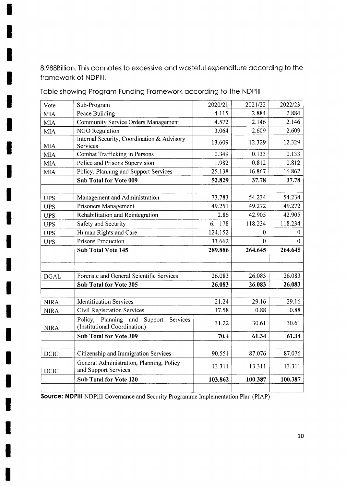8.988Billion. This connotes to excessive ond wosteful expenditure occording to the fromework of NDPlll.

| Vote        | Sub-Program                                                      | 2020/21 | 2021/22 | 2022/23 |
|-------------|------------------------------------------------------------------|---------|---------|---------|
| <b>MIA</b>  | Peace Building                                                   | 4.115   | 2.884   | 2.884   |
| <b>MIA</b>  | Community Service Orders Management                              | 4.572   | 2.146   | 2.146   |
| <b>MIA</b>  | <b>NGO Regulation</b>                                            | 3.064   | 2.609   | 2.609   |
| <b>MIA</b>  | Internal Security, Coordination & Advisory<br>Services           | 13.609  | 12.329  | 12.329  |
| <b>MIA</b>  | Combat Trafficking in Persons                                    | 0.349   | 0.133   | 0.133   |
| <b>MIA</b>  | Police and Prisons Supervision                                   | 1.982   | 0.812   | 0.812   |
| <b>MIA</b>  | Policy, Planning and Support Services                            | 25.138  | 16.867  | 16.867  |
|             | Sub Total for Vote 009                                           | 52.829  | 37.78   | 37.78   |
|             |                                                                  |         |         |         |
| <b>UPS</b>  | Management and Administration                                    | 73.783  | 54.234  | 54.234  |
| <b>UPS</b>  | Prisoners Management                                             | 49.251  | 49.272  | 49.272  |
| <b>UPS</b>  | Rehabilitation and Reintegration                                 | 2.86    | 42.905  | 42.905  |
| <b>UPS</b>  | Safety and Security                                              | 6. 178  | 118.234 | 118.234 |
| <b>UPS</b>  | Human Rights and Care                                            | 124.152 | 0       | 0       |
| <b>UPS</b>  | Prisons Production                                               | 33.662  | 0       | 0       |
|             | <b>Sub Total Vote 145</b>                                        | 289.886 | 264.645 | 264.645 |
|             |                                                                  |         |         |         |
| <b>DGAL</b> | Forensic and General Scientific Services                         | 26.083  | 26.083  | 26.083  |
|             | Sub Total for Vote 305                                           | 26.083  | 26.083  | 26.083  |
| <b>NIRA</b> | <b>Identification Services</b>                                   | 21.24   | 29.16   | 29.16   |
| <b>NIRA</b> | Civil Registration Services                                      | 17.58   | 0.88    | 0.88    |
|             | Planning and<br>Policy,<br>Support<br>Services                   |         |         |         |
| <b>NIRA</b> | (Institutional Coordination)                                     | 31.22   | 30.61   | 30.61   |
|             | <b>Sub Total for Vote 309</b>                                    | 70.4    | 61.34   | 61.34   |
|             |                                                                  |         |         |         |
| <b>DCIC</b> | Citizenship and Immigration Services                             | 90.551  | 87.076  | 87.076  |
| <b>DCIC</b> | General Administration, Planning, Policy<br>and Support Services | 13.311  | 13.311  | 13.311  |
|             | <b>Sub Total for Vote 120</b>                                    | 103.862 | 100.387 | 100.387 |
|             |                                                                  |         |         |         |

Toble showing Progrom Funding Fromework occording to the NDPlll

Source: NDPIII NDPIII Governance and Security Programme Implementation Plan (PIAP)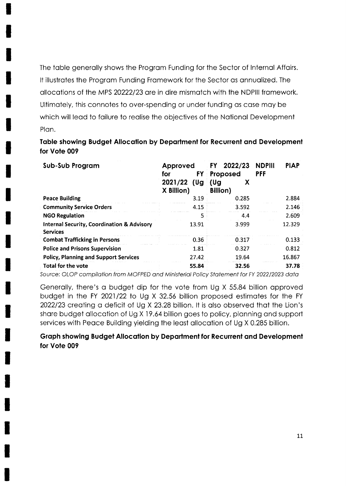The table generally shows the Program Funding for the Sector of Internal Affairs. It illustrates the Program Funding Framework for the Sector as annualized. The allocations of the MPS 20222/23 are in dire mismatch with the NDPIII framework. Ultimately, this connotes to over-spending or under funding as case may be which will lead to failure to realise the objectives of the National Development Plan.

# Table showing Budget Allocation by Department for Recurrent and Development for Vote 009

| Sub-Sub Program                                                          | Approved<br>FY<br>for        | 2022/23<br><b>FY</b><br>Proposed | <b>NDPIII</b><br><b>PIAP</b><br><b>PFF</b> |
|--------------------------------------------------------------------------|------------------------------|----------------------------------|--------------------------------------------|
|                                                                          | 2021/22<br>(Ug<br>X Billion) | (Ug<br><b>Billion</b> )          |                                            |
| <b>Peace Building</b>                                                    | 3.19                         | 0.285                            | 2.884                                      |
| <b>Community Service Orders</b>                                          | 4.15                         | 3.592                            | 2.146                                      |
| <b>NGO Regulation</b>                                                    | 5                            | 4.4                              | 2.609                                      |
| <b>Internal Security, Coordination &amp; Advisory</b><br><b>Services</b> | 13.91                        | 3.999                            | 12.329                                     |
| <b>Combat Trafficking in Persons</b>                                     | 0.36                         | 0.317                            | 0.133                                      |
| <b>Police and Prisons Supervision</b>                                    | 1.81                         | 0.327                            | 0.812                                      |
| <b>Policy, Planning and Support Services</b>                             | 27.42                        | 19.64                            | 16.867                                     |
| <b>Total for the vote</b>                                                | 55.84                        | 32.56                            | 37.78                                      |

Source: OLOP compilation from MOFPED and Ministerial Policy Statement for FY 2022/2023 data

Generally, there's a budget dip for the vote from Ug X 55.84 billion approved budget in the FY 2021/22 to Ug X 32.56 billion proposed estimates for the FY 2022/23 creating a deficit of Ug X 23.28 billion. It is also observed that the Lion's share budget allocation of Ug X 19.64 billion goes to policy, planning and support services with Peace Building yielding the least allocation of Ug X 0.285 billion.

### **Graph showing Budget Allocation by Department for Recurrent and Development** for Vote 009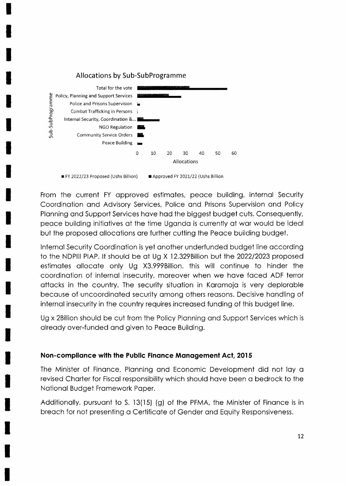

Approved FY 2021/22 (Ushs Billion FY 2022/23 Proposed (Ushs Billion)

From the current FY approved estimates, peace building, internal Security Coordination and Advisory Services, Police and Prisons Supervision and Policy Planning and Support Services have had the biggest budget cuts. Consequently, peace building initiatives at the time Uganda is currently at war would be ideal but the proposed allocations are further cutting the Peace building budget.

Internal Security Coordination is yet another underfunded budget line according to the NDPIII PIAP. It should be at Ug X 12.329 Billion but the 2022/2023 proposed estimates allocate only Ug X3.999Billion. this will continue to hinder the coordination of internal insecurity, moreover when we have faced ADF terror attacks in the country. The security situation in Karamoja is very deplorable because of uncoordinated security among others reasons. Decisive handling of internal insecurity in the country requires increased funding of this budget line.

Ug x 2Billion should be cut from the Policy Planning and Support Services which is already over-funded and given to Peace Building.

#### Non-compliance with the Public Finance Management Act, 2015

The Minister of Finance, Planning and Economic Development did not lay a revised Charter for Fiscal responsibility which should have been a bedrock to the National Budget Framework Paper.

Additionally, pursuant to S. 13(15) (g) of the PFMA, the Minister of Finance is in breach for not presenting a Certificate of Gender and Equity Responsiveness.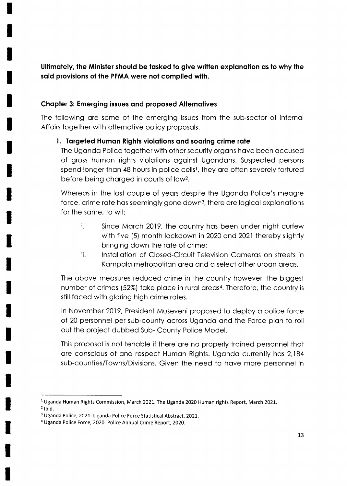Ultimately, the Minister should be tasked to give written explanation as to why the said provisions of the PFMA were not complied with.

### Chopter 3: Emerging issues ond proposed Alternotives

The following ore some of the emerging issues from the sub-sector of lnternol Affairs together with alternative policy proposals.

### 1. Targeted Human Rights violations and soaring crime rate

The Uganda Police together with other security organs have been accused of gross humon rights violotions ogoinst Ugondons. Suspected persons spend longer than 48 hours in police cells<sup>1</sup>, they are often severely tortured before being chorged in courts of lowz.

Whereas in the last couple of years despite the Uganda Police's meagre force, crime rate has seemingly gone down<sup>3</sup>, there are logical explanations for the some, to wit;

- i. Since Morch 2019, the country hos been under night curfew with five (5) month lockdown in 2020 ond 2021 thereby slightly bringing down the rote of crime;
- ii. lnstollotion of Closed-Circuit Television Comeros on streets in Kampala metropolitan area and a select other urban areas.

The above measures reduced crime in the country however, the biggest number of crimes (52%) take place in rural areas<sup>4</sup>. Therefore, the country is still faced with glaring high crime rates.

In November 2019, President Museveni proposed to deploy a police force of 20 personnel per sub-county across Uganda and the Force plan to roll out the project dubbed Sub- County Police Model.

This proposal is not tenable if there are no properly trained personnel that are conscious of and respect Human Rights. Uganda currently has 2,184 sub-counties/Towns/Divisions. Given the need to hove more personnel in

 $2$  Ibid.

<sup>&</sup>lt;sup>1</sup> Uganda Human Rights Commission, March 2021. The Uganda 2020 Human rights Report, March 2021.

<sup>3</sup>Uganda Police, 2021. Uganda Police Force Statistical Abstract, 2021.

<sup>&</sup>lt;sup>4</sup> Uganda Police Force, 2020. Police Annual Crime Report, 2020.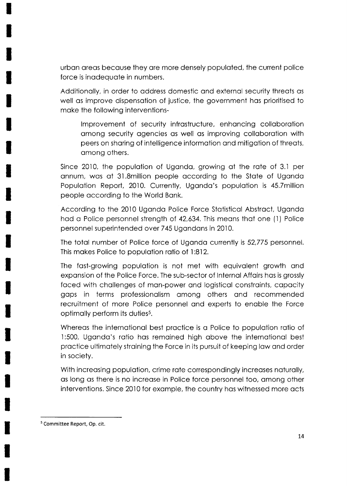urbon oreos becouse they ore more densely populoted, the current police force is inodequote in numbers.

Additionolly, in order to oddress domestic ond externol security threots os well as improve dispensation of justice, the government has prioritised to moke the following interventions-

lmprovement of security infrostructure, enhoncing colloborotion omong security ogencies os well os improving colloborotion with peers on shoring of intelligence informotion ond mitigotion of threqts, omong others.

Since 2010, the population of Uganda, growing at the rate of 3.1 per onnum, wos of 3l.Smillion people occording to the Stote of Ugondo Population Report, 2010. Currently, Uganda's population is 45.7million people occording to the World Bonk.

According to the 2010 Ugondo Police Force Stotisticol Abstroct, Ugondo hod o Police personnel strength of 42,634. This meons thot one (1) Police personnel superintended over 745 Ugandans in 2010.

The totol number of Police force of Ugondo currently is 52,775 personnel. This mokes Police to populotion rotio of l:812.

The fast-growing population is not met with equivalent growth and exponsion of the Police Force. The sub-sector of lnternol Affoirs hos is grossly faced with challenges of man-power and logistical constraints, capacity gops in terms professionolism omong others ond recommended recruitment of more Police personnel and experts to enable the Force optimally perform its duties<sup>5</sup>.

Whereas the international best practice is a Police to population ratio of 1:500, Uganda's ratio has remained high above the international best practice ultimately straining the Force in its pursuit of keeping law and order in society.

With increasing population, crime rate correspondingly increases naturally, as long as there is no increase in Police force personnel too, among other interventions. Since 2010 for exomple, the country hos witnessed more octs

<sup>&</sup>lt;sup>5</sup> Committee Report, Op. cit.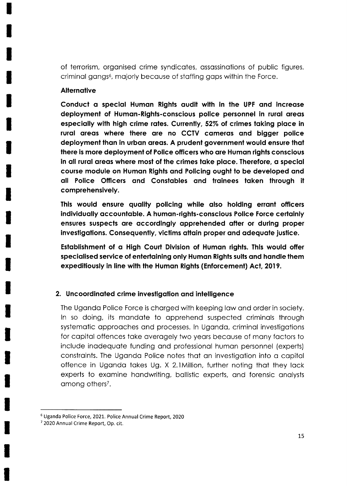of terrorism, orgonised crime syndicotes, ossossinotions of public figures, criminal gangs<sup>6</sup>, majorly because of staffing gaps within the Force.

### **Alternative**

Conduct a special Human Rights audit with in the UPF and increase deployment of Human-Rights-conscious police personnel in rural areas especially with high crime rates. Currently, 52% of crimes taking place in rural areas where there are no CCTV cameras and bigger police deployment than in urban areas. A prudent government would ensure that there is more deployment of Police officers who are Human rights conscious in all rural areas where most of the crimes take place. Therefore, a special course module on Humon Rights ond Policing oughl to be developed ond oll Police Officers qnd Constobles qnd troinees loken lhrough it comprehensively.

This would ensure quality policing while also holding errant officers individually accountable. A human-rights-conscious Police Force certainly ensures suspects are accordingly apprehended after or during proper investigations. Consequently, victims attain proper and adequate justice.

Establishment of a High Court Division of Human rights. This would offer specialised service of entertaining only Human Rights suits and handle them expeditiously in line with the Human Rights (Enforcement) Act, 2019.

### 2. Uncoordinated crime investigation and intelligence

The Uganda Police Force is charged with keeping law and order in society. ln so doing, its mondote to opprehend suspected criminols through systematic approaches and processes. In Uganda, criminal investigations for copitol offences toke overogely two yeors becouse of mony foctors to include inodequote funding ond professionol humon personnel (experts) constraints. The Uganda Police notes that an investigation into a capital offence in Ugondo tokes Ug.X 2.lMillion, further noting thot they lock experts to exomine hondwriting, bollistic experts, ond forensic onolysts among others<sup>7</sup>.

<sup>6</sup>Uganda Police Force, 2021. Police Annual Crime Report, 2020

<sup>7</sup>2020 Annual Crime Report, Op. cit.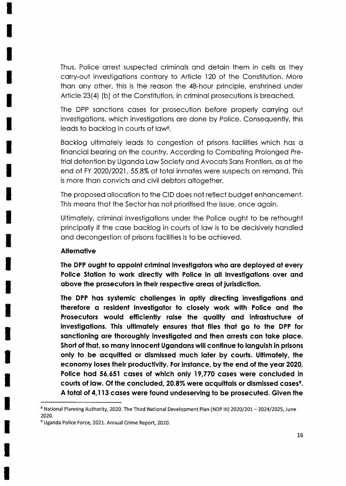Thus, Police orrest suspected criminols ond detoin them in cells os they carry-out investigations contrary to Article 120 of the Constitution. More thon ony other, this is the reoson the 48-hour principle, enshrined under Article 23(4) (b) of the Constitution, in criminol prosecutions is breoched.

The DPP sanctions cases for prosecution before properly carrying out investigations, which investigations are done by Police. Consequently, this leads to backlog in courts of law<sup>8</sup>.

Bocklog ultimotely leods to congestion of prisons focilities which hos o finonciol beoring on the country. According to Comboting Prolonged Pretriol detention by Ugondo Low Society ond Avocots Sons Frontiers, os of the end of FY 2020/2021, 55.8% of total inmates were suspects on remand. This is more thon convicts ond civil debtors oltogether.

The proposed ollocotion to the CID does not reflect budget enhoncement. This means that the Sector has not prioritised the issue, once again.

Ultimotely, criminol investigotions under the Police ought to be rethought principally if the case backlog in courts of law is to be decisively handled ond decongestion of prisons focilities is to be ochieved.

#### **Alternative**

The DPP ought to appoint criminal investigators who are deployed at every Police Station to work directly with Police in all investigations over and above the prosecutors in their respective areas of jurisdiction.

The DPP has systemic challenges in aptly directing investigations and therefore a resident investigator to closely work with Police and the Prosecutors would efficiently raise the quality and infrastructure of investigations. This ultimately ensures that files that go to the DPP for sanctioning are thoroughly investigated and then arrests can take place. Short of that, so many innocent Ugandans will continue to languish in prisons only to be acquitted or dismissed much later by courts. Ultimately, the economy loses their productivity. For instance, by the end of the year 2020, Police hod 56,651 coses of which only 19,770 coses were concluded in courts of law. Of the concluded, 20.8% were acquittals or dismissed cases<sup>9</sup>. A total of 4,113 cases were found undeserving to be prosecuted. Given the

<sup>8</sup> National Planning Authority, 2020. The Third National Development Plan (NDP III) 2020/201 - 2024/2025, June 2020.

<sup>&</sup>lt;sup>9</sup> Uganda Police Force, 2021. Annual Crime Report, 2020.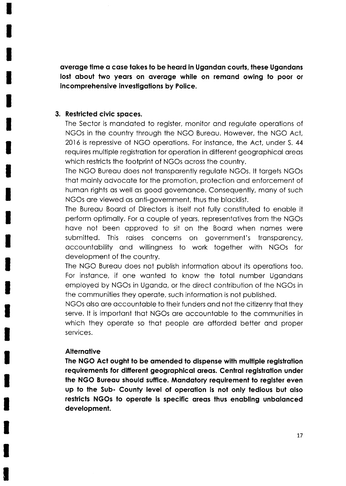average time a case takes to be heard in Ugandan courts, these Ugandans lost about two years on average while on remand owing to poor or incomprehensive investigations by Police.

#### 3. Restricted civic spaces.

The Sector is mandated to register, monitor and regulate operations of NGOs in the country through the NGO Bureau. However, the NGO Act, 2016 is repressive of NGO operations. For instance, the Act, under S. 44 requires multiple registration for operation in different geographical areas which restricts the footprint of NGOs across the country.

The NGO Bureau does not transparently regulate NGOs. It targets NGOs that mainly advocate for the promotion, protection and enforcement of human rights as well as good governance. Consequently, many of such NGOs are viewed as anti-government, thus the blacklist.

The Bureau Board of Directors is itself not fully constituted to enable it perform optimally. For a couple of years, representatives from the NGOs have not been approved to sit on the Board when names were submitted. This raises concerns on government's transparency, accountability and willingness to work together with NGOs for development of the country.

The NGO Bureau does not publish information about its operations too. For instance, if one wanted to know the total number Ugandans employed by NGOs in Uganda, or the direct contribution of the NGOs in the communities they operate, such information is not published.

NGOs also are accountable to their funders and not the citizenry that they serve. It is important that NGOs are accountable to the communities in which they operate so that people are afforded better and proper services.

#### **Alternative**

The NGO Act ought to be amended to dispense with multiple registration requirements for different geographical areas. Central registration under the NGO Bureau should suffice. Mandatory requirement to register even up to the Sub- County level of operation is not only tedious but also restricts NGOs to operate is specific areas thus enabling unbalanced development.